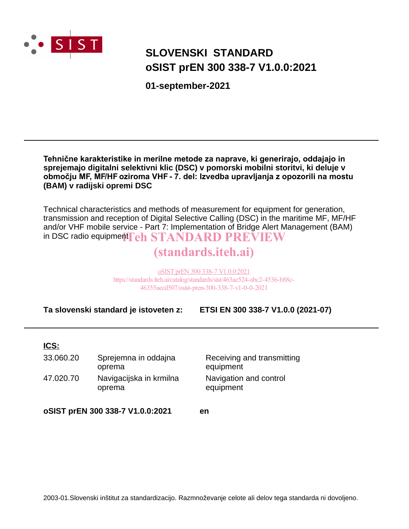

# **SLOVENSKI STANDARD oSIST prEN 300 338-7 V1.0.0:2021**

**01-september-2021**

**Tehnične karakteristike in merilne metode za naprave, ki generirajo, oddajajo in sprejemajo digitalni selektivni klic (DSC) v pomorski mobilni storitvi, ki deluje v območju MF, MF/HF oziroma VHF - 7. del: Izvedba upravljanja z opozorili na mostu (BAM) v radijski opremi DSC**

Technical characteristics and methods of measurement for equipment for generation, transmission and reception of Digital Selective Calling (DSC) in the maritime MF, MF/HF and/or VHF mobile service - Part 7: Implementation of Bridge Alert Management (BAM) in DSC radio equipment  $\bf{Teh}$   $\bf STANDARD$   $\bf PREVIEW$ 

# (standards.iteh.ai)

oSIST prEN 300 338-7 V1.0.0:2021 https://standards.iteh.ai/catalog/standards/sist/463ae524-abc2-4536-b88c-46355aecd507/osist-pren-300-338-7-v1-0-0-2021

**Ta slovenski standard je istoveten z: ETSI EN 300 338-7 V1.0.0 (2021-07)**

#### **ICS:**

| 33.060.20 | Sprejemna in oddajna<br>oprema    | Receiving and transmitting<br>equipment |
|-----------|-----------------------------------|-----------------------------------------|
| 47.020.70 | Navigacijska in krmilna<br>oprema | Navigation and control<br>equipment     |

**oSIST prEN 300 338-7 V1.0.0:2021 en**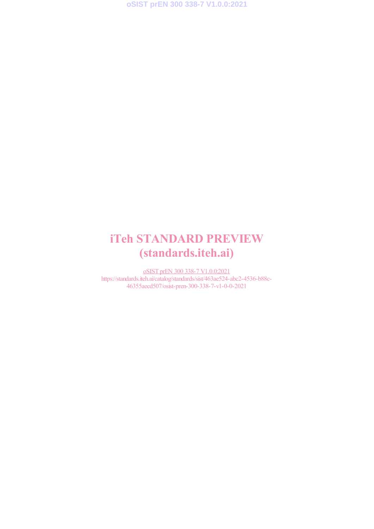**oSIST prEN 300 338-7 V1.0.0:2021**

# iTeh STANDARD PREVIEW (standards.iteh.ai)

oSIST prEN 300 338-7 V1.0.0:2021 https://standards.iteh.ai/catalog/standards/sist/463ae524-abc2-4536-b88c-46355aecd507/osist-pren-300-338-7-v1-0-0-2021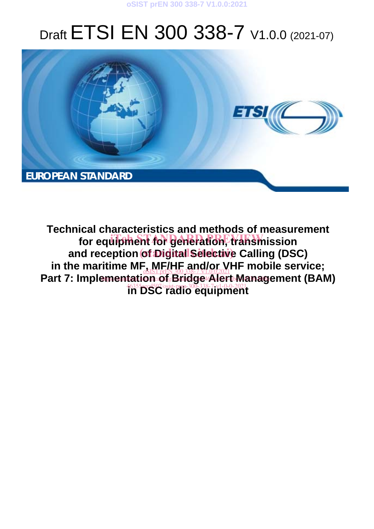

# Draft ETSI EN 300 338-7 V1.0.0 (2021-07)



**Technical characteristics and methods of measurement**  for equipment for generation, transmission and reception of Digital Selective Calling (DSC) in the maritime MF, MF/HF and/or VHF mobile service;<br> Part 7: Implementation of Bridge Alert Management (BAM) **16355pe507/osist-pren-300-338-7-v1-0-0-2021**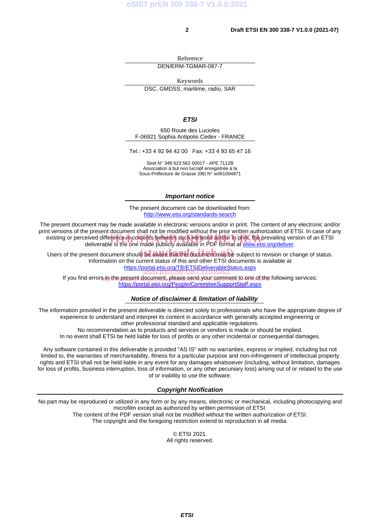Reference

DEN/ERM-TGMAR-087-7

Keywords

DSC, GMDSS, maritime, radio, SAR

*ETSI* 

650 Route des Lucioles F-06921 Sophia Antipolis Cedex - FRANCE

Tel.: +33 4 92 94 42 00 Fax: +33 4 93 65 47 16

Siret N° 348 623 562 00017 - APE 7112B Association à but non lucratif enregistrée à la Sous-Préfecture de Grasse (06) N° w061004871

#### *Important notice*

The present document can be downloaded from: http://www.etsi.org/standards-search

The present document may be made available in electronic versions and/or in print. The content of any electronic and/or print versions of the present document shall not be modified without the prior written authorization of ETSI. In case of any existing or perceived difference in contents between such versions and/or in/print, the prevailing version of an ETSI deliverable is the one made publicly available in PDF format at www.etsi.org/deliver. deliverable is the one made publicly available in PDF format at www.etsi.org/deliver.

Users of the present document should be aware that the document may be subject to revision or change of status. Information on the current status of this and other ETSI documents is available at https://portal.etsi.org/TB/ETSIDeliverableStatus.aspx oSIST prEN 300 338-7 V1.0.0:2021

lf you find error<u>s in the present document. Please send y</u>our <u>comment to one of the f</u>ollowing services: <u>https://portal.etsi.org/People/CommiteeSupportStaff.aspx</u>

#### *Notice of disclaimer & limitation of liability*

The information provided in the present deliverable is directed solely to professionals who have the appropriate degree of experience to understand and interpret its content in accordance with generally accepted engineering or other professional standard and applicable regulations.

No recommendation as to products and services or vendors is made or should be implied.

In no event shall ETSI be held liable for loss of profits or any other incidental or consequential damages.

Any software contained in this deliverable is provided "AS IS" with no warranties, express or implied, including but not limited to, the warranties of merchantability, fitness for a particular purpose and non-infringement of intellectual property rights and ETSI shall not be held liable in any event for any damages whatsoever (including, without limitation, damages for loss of profits, business interruption, loss of information, or any other pecuniary loss) arising out of or related to the use of or inability to use the software.

#### *Copyright Notification*

No part may be reproduced or utilized in any form or by any means, electronic or mechanical, including photocopying and microfilm except as authorized by written permission of ETSI. The content of the PDF version shall not be modified without the written authorization of ETSI.

The copyright and the foregoing restriction extend to reproduction in all media.

© ETSI 2021. All rights reserved.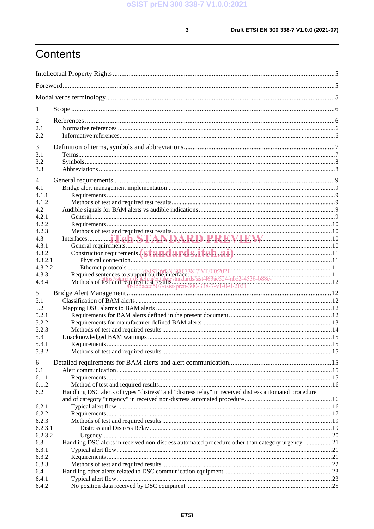$\mathbf{3}$ 

# Contents

| 1                  |                                                                                                       |  |
|--------------------|-------------------------------------------------------------------------------------------------------|--|
| 2                  |                                                                                                       |  |
| 2.1                |                                                                                                       |  |
| 2.2                |                                                                                                       |  |
| 3                  |                                                                                                       |  |
| 3.1                |                                                                                                       |  |
| 3.2                |                                                                                                       |  |
| 3.3                |                                                                                                       |  |
|                    |                                                                                                       |  |
| 4                  |                                                                                                       |  |
| 4.1                |                                                                                                       |  |
| 4.1.1              |                                                                                                       |  |
| 4.1.2<br>4.2       |                                                                                                       |  |
| 4.2.1              |                                                                                                       |  |
| 4.2.2              |                                                                                                       |  |
| 4.2.3              |                                                                                                       |  |
| 4.3                |                                                                                                       |  |
| 4.3.1              |                                                                                                       |  |
| 4.3.2              |                                                                                                       |  |
| 4.3.2.1            |                                                                                                       |  |
| 4.3.2.2            |                                                                                                       |  |
| 4.3.3              |                                                                                                       |  |
| 4.3.4              |                                                                                                       |  |
| 5                  |                                                                                                       |  |
| 5.1                |                                                                                                       |  |
| 5.2                |                                                                                                       |  |
| 5.2.1              |                                                                                                       |  |
| 5.2.2              |                                                                                                       |  |
| 5.2.3              |                                                                                                       |  |
| 5.3                |                                                                                                       |  |
| 5.3.1              |                                                                                                       |  |
| 5.3.2              |                                                                                                       |  |
| 6                  |                                                                                                       |  |
| 6.1                |                                                                                                       |  |
| 6.1.1              |                                                                                                       |  |
| 6.1.2              |                                                                                                       |  |
| 6.2                | Handling DSC alerts of types "distress" and "distress relay" in received distress automated procedure |  |
|                    |                                                                                                       |  |
| 6.2.1              |                                                                                                       |  |
| 6.2.2              |                                                                                                       |  |
| 6.2.3              |                                                                                                       |  |
| 6.2.3.1<br>6.2.3.2 |                                                                                                       |  |
| 6.3                | Handling DSC alerts in received non-distress automated procedure other than category urgency 21       |  |
| 6.3.1              |                                                                                                       |  |
| 6.3.2              |                                                                                                       |  |
| 6.3.3              |                                                                                                       |  |
| 6.4                |                                                                                                       |  |
| 6.4.1              |                                                                                                       |  |
| 6.4.2              |                                                                                                       |  |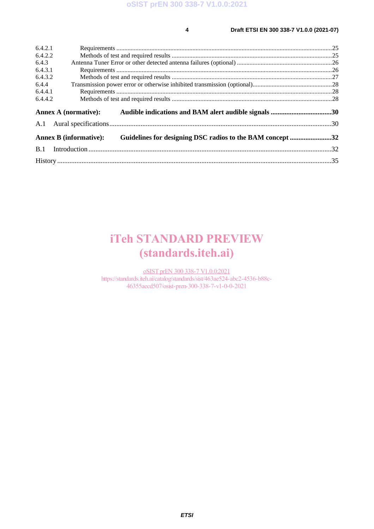#### **4 Draft ETSI EN 300 338-7 V1.0.0 (2021-07)**

| 6.4.2.1 |                                                                                            |  |
|---------|--------------------------------------------------------------------------------------------|--|
| 6.4.2.2 |                                                                                            |  |
| 6.4.3   |                                                                                            |  |
| 6.4.3.1 |                                                                                            |  |
| 6.4.3.2 |                                                                                            |  |
| 6.4.4   |                                                                                            |  |
| 6.4.4.1 |                                                                                            |  |
| 6.4.4.2 |                                                                                            |  |
|         |                                                                                            |  |
|         | <b>Annex A (normative):</b><br>Audible indications and BAM alert audible signals 30        |  |
| A.1     |                                                                                            |  |
|         | Guidelines for designing DSC radios to the BAM concept 32<br><b>Annex B (informative):</b> |  |
| B.1     |                                                                                            |  |

# iTeh STANDARD PREVIEW (standards.iteh.ai)

oSIST prEN 300 338-7 V1.0.0:2021 https://standards.iteh.ai/catalog/standards/sist/463ae524-abc2-4536-b88c-46355aecd507/osist-pren-300-338-7-v1-0-0-2021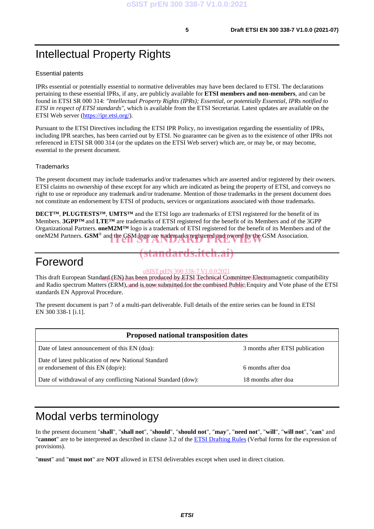# Intellectual Property Rights

#### Essential patents

IPRs essential or potentially essential to normative deliverables may have been declared to ETSI. The declarations pertaining to these essential IPRs, if any, are publicly available for **ETSI members and non-members**, and can be found in ETSI SR 000 314: *"Intellectual Property Rights (IPRs); Essential, or potentially Essential, IPRs notified to ETSI in respect of ETSI standards"*, which is available from the ETSI Secretariat. Latest updates are available on the ETSI Web server (https://ipr.etsi.org/).

Pursuant to the ETSI Directives including the ETSI IPR Policy, no investigation regarding the essentiality of IPRs, including IPR searches, has been carried out by ETSI. No guarantee can be given as to the existence of other IPRs not referenced in ETSI SR 000 314 (or the updates on the ETSI Web server) which are, or may be, or may become, essential to the present document.

#### **Trademarks**

The present document may include trademarks and/or tradenames which are asserted and/or registered by their owners. ETSI claims no ownership of these except for any which are indicated as being the property of ETSI, and conveys no right to use or reproduce any trademark and/or tradename. Mention of those trademarks in the present document does not constitute an endorsement by ETSI of products, services or organizations associated with those trademarks.

**DECT™**, **PLUGTESTS™**, **UMTS™** and the ETSI logo are trademarks of ETSI registered for the benefit of its Members. **3GPP™** and **LTE™** are trademarks of ETSI registered for the benefit of its Members and of the 3GPP Organizational Partners. **oneM2M™** logo is a trademark of ETSI registered for the benefit of its Members and of the oneM2M Partners. **GSM®** and the GSM logo are trademarks registered and owned by the GSM Association.

## Foreword

# (standards.iteh.ai)

#### oSIST prEN 300 338-7 V1.0.0:2021

This draft European Standard (EN) has been produced by ETSI Technical Committee Electromagnetic compatibility and Radio spectrum Matters (ERM), and is now submitted for the combined Public Enquiry and Vote phase of the ETSI standards EN Approval Procedure.

The present document is part 7 of a multi-part deliverable. Full details of the entire series can be found in ETSI EN 300 338-1 [i.1].

| <b>Proposed national transposition dates</b>                                                |                                 |
|---------------------------------------------------------------------------------------------|---------------------------------|
| Date of latest announcement of this EN (doa):                                               | 3 months after ETSI publication |
| Date of latest publication of new National Standard<br>or endorsement of this $EN$ (dop/e): | 6 months after doa              |
| Date of withdrawal of any conflicting National Standard (dow):                              | 18 months after doa             |

# Modal verbs terminology

In the present document "**shall**", "**shall not**", "**should**", "**should not**", "**may**", "**need not**", "**will**", "**will not**", "**can**" and "**cannot**" are to be interpreted as described in clause 3.2 of the ETSI Drafting Rules (Verbal forms for the expression of provisions).

"**must**" and "**must not**" are **NOT** allowed in ETSI deliverables except when used in direct citation.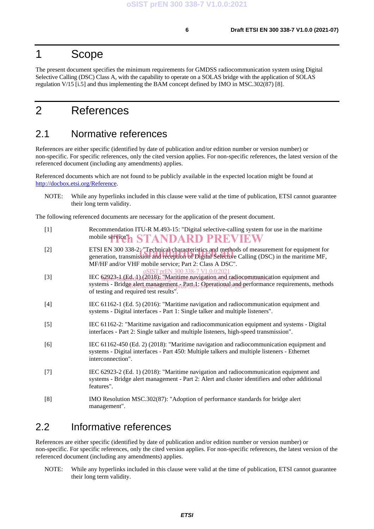## 1 Scope

The present document specifies the minimum requirements for GMDSS radiocommunication system using Digital Selective Calling (DSC) Class A, with the capability to operate on a SOLAS bridge with the application of SOLAS regulation V/15 [i.5] and thus implementing the BAM concept defined by IMO in MSC.302(87) [8].

# 2 References

## 2.1 Normative references

References are either specific (identified by date of publication and/or edition number or version number) or non-specific. For specific references, only the cited version applies. For non-specific references, the latest version of the referenced document (including any amendments) applies.

Referenced documents which are not found to be publicly available in the expected location might be found at http://docbox.etsi.org/Reference.

NOTE: While any hyperlinks included in this clause were valid at the time of publication, ETSI cannot guarantee their long term validity.

The following referenced documents are necessary for the application of the present document.

| $[1]$ | Recommendation ITU-R M.493-15: "Digital selective-calling system for use in the maritime |
|-------|------------------------------------------------------------------------------------------|
|       | mobile service" STANDARD PREVIEW                                                         |

- [2] ETSI EN 300 338-2: "Technical characteristics and methods of measurement for equipment for ETSI EN 300 338-2: "Technical characteristics and methods of measurement for equipment for generation, transmission and reception of Digital Selective Calling (DSC) in the maritime MF, MF/HF and/or VHF mobile service; Part 2: Class A DSC". orEN 300 338-7 V1.0.0:20
- [3] IEC 62923<sub>25</sub>1 (Ed. 1) (2018): "Maritime navigation and radiocommunication equipment and systems - Bridge alert management - Part d.: Operational and performance requirements, methods of testing and required test results".
- [4] IEC 61162-1 (Ed. 5) (2016): "Maritime navigation and radiocommunication equipment and systems - Digital interfaces - Part 1: Single talker and multiple listeners".
- [5] IEC 61162-2: "Maritime navigation and radiocommunication equipment and systems Digital interfaces - Part 2: Single talker and multiple listeners, high-speed transmission".
- [6] IEC 61162-450 (Ed. 2) (2018): "Maritime navigation and radiocommunication equipment and systems - Digital interfaces - Part 450: Multiple talkers and multiple listeners - Ethernet interconnection".
- [7] IEC 62923-2 (Ed. 1) (2018): "Maritime navigation and radiocommunication equipment and systems - Bridge alert management - Part 2: Alert and cluster identifiers and other additional features".
- [8] IMO Resolution MSC.302(87): "Adoption of performance standards for bridge alert management".

## 2.2 Informative references

References are either specific (identified by date of publication and/or edition number or version number) or non-specific. For specific references, only the cited version applies. For non-specific references, the latest version of the referenced document (including any amendments) applies.

NOTE: While any hyperlinks included in this clause were valid at the time of publication, ETSI cannot guarantee their long term validity.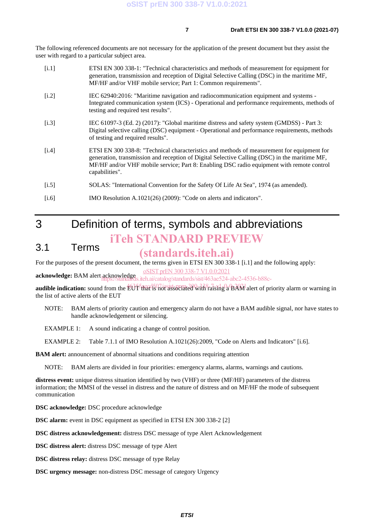The following referenced documents are not necessary for the application of the present document but they assist the user with regard to a particular subject area.

| [i.1] | ETSI EN 300 338-1: "Technical characteristics and methods of measurement for equipment for<br>generation, transmission and reception of Digital Selective Calling (DSC) in the maritime MF,<br>MF/HF and/or VHF mobile service; Part 1: Common requirements".                                              |
|-------|------------------------------------------------------------------------------------------------------------------------------------------------------------------------------------------------------------------------------------------------------------------------------------------------------------|
| [i.2] | IEC 62940:2016: "Maritime navigation and radiocommunication equipment and systems -<br>Integrated communication system (ICS) - Operational and performance requirements, methods of<br>testing and required test results".                                                                                 |
| [i.3] | IEC 61097-3 (Ed. 2) (2017): "Global maritime distress and safety system (GMDSS) - Part 3:<br>Digital selective calling (DSC) equipment - Operational and performance requirements, methods<br>of testing and required results".                                                                            |
| [i.4] | ETSI EN 300 338-8: "Technical characteristics and methods of measurement for equipment for<br>generation, transmission and reception of Digital Selective Calling (DSC) in the maritime MF,<br>MF/HF and/or VHF mobile service; Part 8: Enabling DSC radio equipment with remote control<br>capabilities". |
| [i.5] | SOLAS: "International Convention for the Safety Of Life At Sea", 1974 (as amended).                                                                                                                                                                                                                        |
| [i.6] | IMO Resolution A.1021(26) (2009): "Code on alerts and indicators".                                                                                                                                                                                                                                         |

# 3 Definition of terms, symbols and abbreviations iTeh STANDARD PREVIEW

### 3.1 Terms

## (standards.iteh.ai)

For the purposes of the present document, the terms given in ETSI EN 300 338-1 [i.1] and the following apply:

oSIST prEN 300 338-7 V1.0.0:2021

**acknowledge:** BAM alert acknowledge .iteh.ai/catalog/standards/sist/463ae524-abc2-4536-b88c-

audible indication: sound from the EUT-that is not associated with raising a BAM alert of priority alarm or warning in the list of active alerts of the EUT

NOTE: BAM alerts of priority caution and emergency alarm do not have a BAM audible signal, nor have states to handle acknowledgement or silencing.

EXAMPLE 1: A sound indicating a change of control position.

EXAMPLE 2: Table 7.1.1 of IMO Resolution A.1021(26):2009, "Code on Alerts and Indicators" [i.6].

**BAM alert:** announcement of abnormal situations and conditions requiring attention

NOTE: BAM alerts are divided in four priorities: emergency alarms, alarms, warnings and cautions.

**distress event:** unique distress situation identified by two (VHF) or three (MF/HF) parameters of the distress information; the MMSI of the vessel in distress and the nature of distress and on MF/HF the mode of subsequent communication

**DSC acknowledge:** DSC procedure acknowledge

**DSC alarm:** event in DSC equipment as specified in ETSI EN 300 338-2 [2]

**DSC distress acknowledgement:** distress DSC message of type Alert Acknowledgement

**DSC distress alert:** distress DSC message of type Alert

**DSC distress relay:** distress DSC message of type Relay

**DSC urgency message:** non-distress DSC message of category Urgency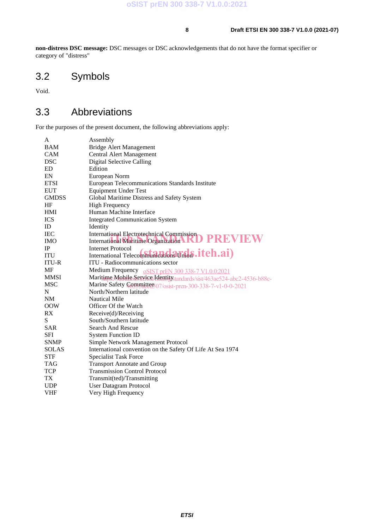**non-distress DSC message:** DSC messages or DSC acknowledgements that do not have the format specifier or category of "distress"

# 3.2 Symbols

Void.

# 3.3 Abbreviations

For the purposes of the present document, the following abbreviations apply:

| A            | Assembly                                                                 |
|--------------|--------------------------------------------------------------------------|
| <b>BAM</b>   | <b>Bridge Alert Management</b>                                           |
| <b>CAM</b>   | Central Alert Management                                                 |
| <b>DSC</b>   | Digital Selective Calling                                                |
| <b>ED</b>    | Edition                                                                  |
| EN           | European Norm                                                            |
| <b>ETSI</b>  | European Telecommunications Standards Institute                          |
| <b>EUT</b>   | <b>Equipment Under Test</b>                                              |
| <b>GMDSS</b> | Global Maritime Distress and Safety System                               |
| HF           | <b>High Frequency</b>                                                    |
| <b>HMI</b>   | Human Machine Interface                                                  |
| <b>ICS</b>   | <b>Integrated Communication System</b>                                   |
| ID           | Identity                                                                 |
| <b>IEC</b>   | <b>International Electrotechnical Commission</b>                         |
| <b>IMO</b>   | International Maritime Organization RD PREVIEW                           |
| <b>IP</b>    | Internet Protocol                                                        |
| <b>ITU</b>   | International Telecommunications Union .itch.ai)                         |
| <b>ITU-R</b> | ITU - Radiocommunications sector                                         |
| MF           | Medium Frequency oSIST prEN 300 338-7 V1.0.0:2021                        |
| <b>MMSI</b>  | Maritime Mobile Senvice Identity standards/sist/463ae524-abc2-4536-b88c- |
| <b>MSC</b>   | Marine Safety Committees 07/osist-pren-300-338-7-v1-0-0-2021             |
| N            | North/Northern latitude                                                  |
| NM           | <b>Nautical Mile</b>                                                     |
| <b>OOW</b>   | Officer Of the Watch                                                     |
| RX           | Receive(d)/Receiving                                                     |
| S            | South/Southern latitude                                                  |
| <b>SAR</b>   | <b>Search And Rescue</b>                                                 |
| <b>SFI</b>   | <b>System Function ID</b>                                                |
| <b>SNMP</b>  | Simple Network Management Protocol                                       |
| <b>SOLAS</b> | International convention on the Safety Of Life At Sea 1974               |
| <b>STF</b>   | <b>Specialist Task Force</b>                                             |
| <b>TAG</b>   | <b>Transport Annotate and Group</b>                                      |
| <b>TCP</b>   | <b>Transmission Control Protocol</b>                                     |
| TX           | Transmit(ted)/Transmitting                                               |
| <b>UDP</b>   | <b>User Datagram Protocol</b>                                            |
| VHF          | Very High Frequency                                                      |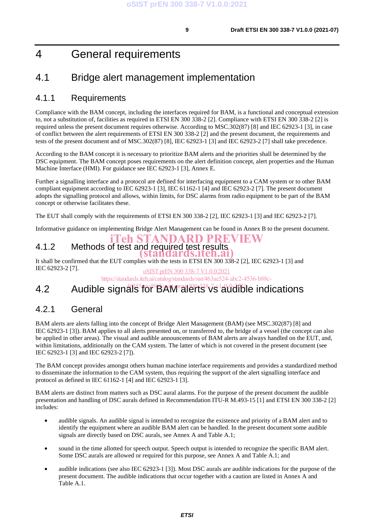# 4 General requirements

## 4.1 Bridge alert management implementation

## 4.1.1 Requirements

Compliance with the BAM concept, including the interfaces required for BAM, is a functional and conceptual extension to, not a substitution of, facilities as required in ETSI EN 300 338-2 [2]. Compliance with ETSI EN 300 338-2 [2] is required unless the present document requires otherwise. According to MSC.302(87) [8] and IEC 62923-1 [3], in case of conflict between the alert requirements of ETSI EN 300 338-2 [2] and the present document, the requirements and tests of the present document and of MSC.302(87) [8], IEC 62923-1 [3] and IEC 62923-2 [7] shall take precedence.

According to the BAM concept it is necessary to prioritize BAM alerts and the priorities shall be determined by the DSC equipment. The BAM concept poses requirements on the alert definition concept, alert properties and the Human Machine Interface (HMI). For guidance see IEC 62923-1 [3], Annex E.

Further a signalling interface and a protocol are defined for interfacing equipment to a CAM system or to other BAM compliant equipment according to IEC 62923-1 [3], IEC 61162-1 [4] and IEC 62923-2 [7]. The present document adopts the signalling protocol and allows, within limits, for DSC alarms from radio equipment to be part of the BAM concept or otherwise facilitates these.

The EUT shall comply with the requirements of ETSI EN 300 338-2 [2], IEC 62923-1 [3] and IEC 62923-2 [7].

Informative guidance on implementing Bridge Alert Management can be found in Annex B to the present document.

#### 4.1.2 Methods of test and required test results iTeh STANDARD PREVIEW (standards.iteh.ai)

It shall be confirmed that the EUT complies with the tests in ETSI EN 300 338-2 [2], IEC 62923-1 [3] and IEC 62923-2 [7]. oSIST prEN 300 338-7 V1.0.0:2021

https://standards.iteh.ai/catalog/standards/sist/463ae524-abc2-4536-b88c-

## 4.2 Audible signals<sup>5</sup>fo<sup>r</sup> BAM alerts vs audible indications

## 4.2.1 General

BAM alerts are alerts falling into the concept of Bridge Alert Management (BAM) (see MSC.302(87) [8] and IEC 62923-1 [3]). BAM applies to all alerts presented on, or transferred to, the bridge of a vessel (the concept can also be applied in other areas). The visual and audible announcements of BAM alerts are always handled on the EUT, and, within limitations, additionally on the CAM system. The latter of which is not covered in the present document (see IEC 62923-1 [3] and IEC 62923-2 [7]).

The BAM concept provides amongst others human machine interface requirements and provides a standardized method to disseminate the information to the CAM system, thus requiring the support of the alert signalling interface and protocol as defined in IEC 61162-1 [4] and IEC 62923-1 [3].

BAM alerts are distinct from matters such as DSC aural alarms. For the purpose of the present document the audible presentation and handling of DSC aurals defined in Recommendation ITU-R M.493-15 [1] and ETSI EN 300 338-2 [2] includes:

- audible signals. An audible signal is intended to recognize the existence and priority of a BAM alert and to identify the equipment where an audible BAM alert can be handled. In the present document some audible signals are directly based on DSC aurals, see Annex A and Table A.1;
- sound in the time allotted for speech output. Speech output is intended to recognize the specific BAM alert. Some DSC aurals are allowed or required for this purpose, see Annex A and Table A.1; and
- audible indications (see also IEC 62923-1 [3]). Most DSC aurals are audible indications for the purpose of the present document. The audible indications that occur together with a caution are listed in Annex A and Table A.1.